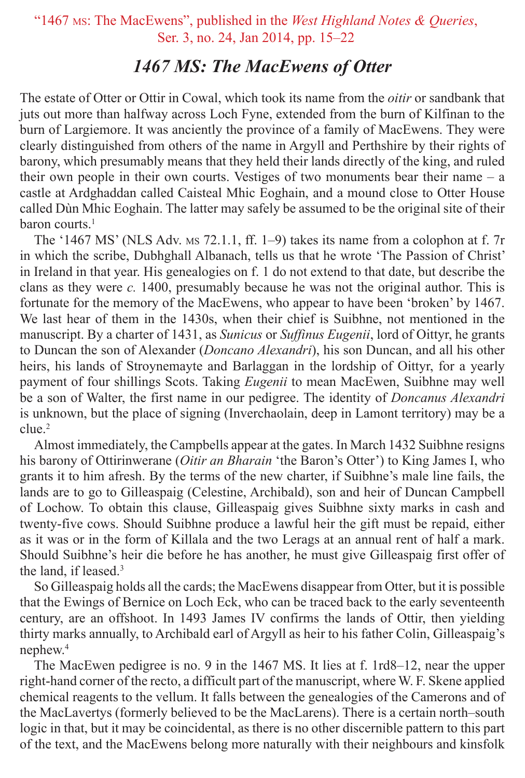#### "1467 ms: The MacEwens", published in the *West Highland Notes & Queries*, Ser. 3, no. 24, Jan 2014, pp. 15–22

#### *1467 MS: The MacEwens of Otter*

The estate of Otter or Ottir in Cowal, which took its name from the *oitir* or sandbank that juts out more than halfway across Loch Fyne, extended from the burn of Kilfinan to the burn of Largiemore. It was anciently the province of a family of MacEwens. They were clearly distinguished from others of the name in Argyll and Perthshire by their rights of barony, which presumably means that they held their lands directly of the king, and ruled their own people in their own courts. Vestiges of two monuments bear their name – a castle at Ardghaddan called Caisteal Mhic Eoghain, and a mound close to Otter House called Dùn Mhic Eoghain. The latter may safely be assumed to be the original site of their baron courts.<sup>1</sup>

The '1467 MS' (NLS Adv. ms 72.1.1, ff. 1–9) takes its name from a colophon at f. 7r in which the scribe, Dubhghall Albanach, tells us that he wrote 'The Passion of Christ' in Ireland in that year. His genealogies on f. 1 do not extend to that date, but describe the clans as they were *c.* 1400, presumably because he was not the original author. This is fortunate for the memory of the MacEwens, who appear to have been 'broken' by 1467. We last hear of them in the 1430s, when their chief is Suibhne, not mentioned in the manuscript. By a charter of 1431, as *Sunicus* or *Suffinus Eugenii*, lord of Oittyr, he grants to Duncan the son of Alexander (*Doncano Alexandri*), his son Duncan, and all his other heirs, his lands of Stroynemayte and Barlaggan in the lordship of Oittyr, for a yearly payment of four shillings Scots. Taking *Eugenii* to mean MacEwen, Suibhne may well be a son of Walter, the first name in our pedigree. The identity of *Doncanus Alexandri* is unknown, but the place of signing (Inverchaolain, deep in Lamont territory) may be a clue.2

Almost immediately, the Campbells appear at the gates. In March 1432 Suibhne resigns his barony of Ottirinwerane (*Oitir an Bharain* 'the Baron's Otter') to King James I, who grants it to him afresh. By the terms of the new charter, if Suibhne's male line fails, the lands are to go to Gilleaspaig (Celestine, Archibald), son and heir of Duncan Campbell of Lochow. To obtain this clause, Gilleaspaig gives Suibhne sixty marks in cash and twenty-five cows. Should Suibhne produce a lawful heir the gift must be repaid, either as it was or in the form of Killala and the two Lerags at an annual rent of half a mark. Should Suibhne's heir die before he has another, he must give Gilleaspaig first offer of the land, if leased.<sup>3</sup>

So Gilleaspaig holds all the cards; the MacEwens disappear from Otter, but it is possible that the Ewings of Bernice on Loch Eck, who can be traced back to the early seventeenth century, are an offshoot. In 1493 James IV confirms the lands of Ottir, then yielding thirty marks annually, to Archibald earl of Argyll as heir to his father Colin, Gilleaspaig's nephew.4

The MacEwen pedigree is no. 9 in the 1467 MS. It lies at f. 1rd8–12, near the upper right-hand corner of the recto, a difficult part of the manuscript, where W. F. Skene applied chemical reagents to the vellum. It falls between the genealogies of the Camerons and of the MacLavertys (formerly believed to be the MacLarens). There is a certain north–south logic in that, but it may be coincidental, as there is no other discernible pattern to this part of the text, and the MacEwens belong more naturally with their neighbours and kinsfolk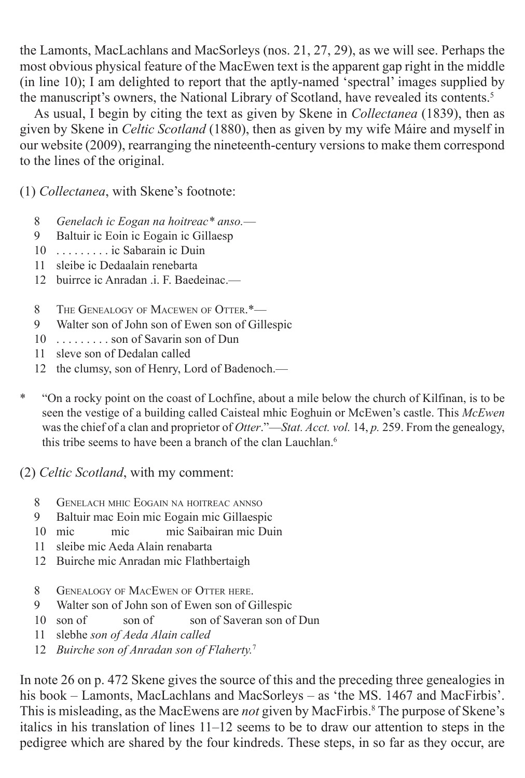the Lamonts, MacLachlans and MacSorleys (nos. 21, 27, 29), as we will see. Perhaps the most obvious physical feature of the MacEwen text is the apparent gap right in the middle (in line 10); I am delighted to report that the aptly-named 'spectral' images supplied by the manuscript's owners, the National Library of Scotland, have revealed its contents.<sup>5</sup>

As usual, I begin by citing the text as given by Skene in *Collectanea* (1839), then as given by Skene in *Celtic Scotland* (1880), then as given by my wife Máire and myself in our website (2009), rearranging the nineteenth-century versions to make them correspond to the lines of the original.

(1) *Collectanea*, with Skene's footnote:

- 8 *Genelach ic Eogan na hoitreac\* anso.*—
- 9 Baltuir ic Eoin ic Eogain ic Gillaesp
- 10 . . . . . . . . . ic Sabarain ic Duin
- 11 sleibe ic Dedaalain renebarta
- 12 buirrce ic Anradan i F. Baedeinac.—
- 8 THE GENEALOGY OF MACEWEN OF OTTER.\*-
- 9 Walter son of John son of Ewen son of Gillespic
- 10 . . . . . . . . . son of Savarin son of Dun
- 11 sleve son of Dedalan called
- 12 the clumsy, son of Henry, Lord of Badenoch.—
- \* "On a rocky point on the coast of Lochfine, about a mile below the church of Kilfinan, is to be seen the vestige of a building called Caisteal mhic Eoghuin or McEwen's castle. This *McEwen* was the chief of a clan and proprietor of *Otter*."—*Stat. Acct. vol.* 14, *p.* 259. From the genealogy, this tribe seems to have been a branch of the clan Lauchlan.<sup>6</sup>

(2) *Celtic Scotland*, with my comment:

- 8 Genelach mhic Eogain na hoitreac annso
- 9 Baltuir mac Eoin mic Eogain mic Gillaespic
- 10 mic mic mic Saibairan mic Duin
- 11 sleibe mic Aeda Alain renabarta
- 12 Buirche mic Anradan mic Flathbertaigh
- 8 GENEALOGY OF MACEWEN OF OTTER HERE.
- 9 Walter son of John son of Ewen son of Gillespic
- 10 son of son of son of Saveran son of Dun
- 11 slebhe *son of Aeda Alain called*
- 12 *Buirche son of Anradan son of Flaherty.*<sup>7</sup>

In note 26 on p. 472 Skene gives the source of this and the preceding three genealogies in his book – Lamonts, MacLachlans and MacSorleys – as 'the MS. 1467 and MacFirbis'. This is misleading, as the MacEwens are *not* given by MacFirbis.<sup>8</sup> The purpose of Skene's italics in his translation of lines 11–12 seems to be to draw our attention to steps in the pedigree which are shared by the four kindreds. These steps, in so far as they occur, are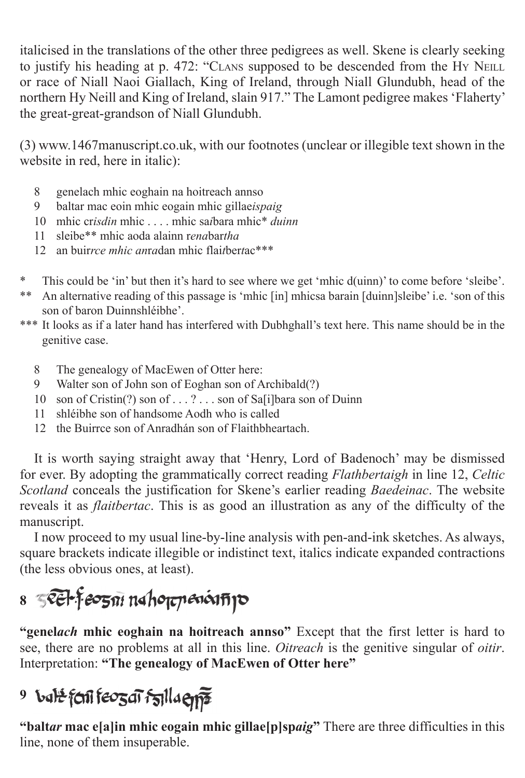italicised in the translations of the other three pedigrees as well. Skene is clearly seeking to justify his heading at p. 472: "CLANS supposed to be descended from the Hy NEILL or race of Niall Naoi Giallach, King of Ireland, through Niall Glundubh, head of the northern Hy Neill and King of Ireland, slain 917." The Lamont pedigree makes 'Flaherty' the great-great-grandson of Niall Glundubh.

(3) www.1467manuscript.co.uk, with our footnotes (unclear or illegible text shown in the website in red, here in italic):

- 8 genelach mhic eoghain na hoitreach annso
- 9 baltar mac eoin mhic eogain mhic gillae*ispaig*
- 10 mhic cr*isdin* mhic mhic sa*i*bara mhic<sup>\*</sup> *duinn*
- 11 sleibe\*\* mhic aoda alainn r*ena*bar*tha*
- 12 an buir*rce mhic an*r*a*dan mhic flai*t*ber*t*ac\*\*\*
- \* This could be 'in' but then it's hard to see where we get 'mhic d(uinn)' to come before 'sleibe'.
- \*\* An alternative reading of this passage is 'mhic [in] mhicsa barain [duinn]sleibe' i.e. 'son of this son of baron Duinnshléibhe'.
- \*\*\* It looks as if a later hand has interfered with Dubhghall's text here. This name should be in the genitive case.
	- 8 The genealogy of MacEwen of Otter here:
	- 9 Walter son of John son of Eoghan son of Archibald(?)
	- 10 son of Cristin(?) son of . . . ? . . . son of Sa[i]bara son of Duinn
	- 11 shléibhe son of handsome Aodh who is called
	- 12 the Buirrce son of Anradhán son of Flaithbheartach.

It is worth saying straight away that 'Henry, Lord of Badenoch' may be dismissed for ever. By adopting the grammatically correct reading *Flathbertaigh* in line 12, *Celtic Scotland* conceals the justification for Skene's earlier reading *Baedeinac*. The website reveals it as *flaitbertac*. This is as good an illustration as any of the difficulty of the manuscript.

I now proceed to my usual line-by-line analysis with pen-and-ink sketches. As always, square brackets indicate illegible or indistinct text, italics indicate expanded contractions (the less obvious ones, at least).

## 8 *S***EH-Feozoi** nahoppenoinipo

**"genel***ach* **mhic eoghain na hoitreach annso"** Except that the first letter is hard to see, there are no problems at all in this line. *Oitreach* is the genitive singular of *oitir*. Interpretation: **"The genealogy of MacEwen of Otter here"**

### <sup>9</sup> bal<del>e</del> feni feozar fallaens

**"balt***ar* **mac e[a]in mhic eogain mhic gillae[p]sp***aig***"** There are three difficulties in this line, none of them insuperable.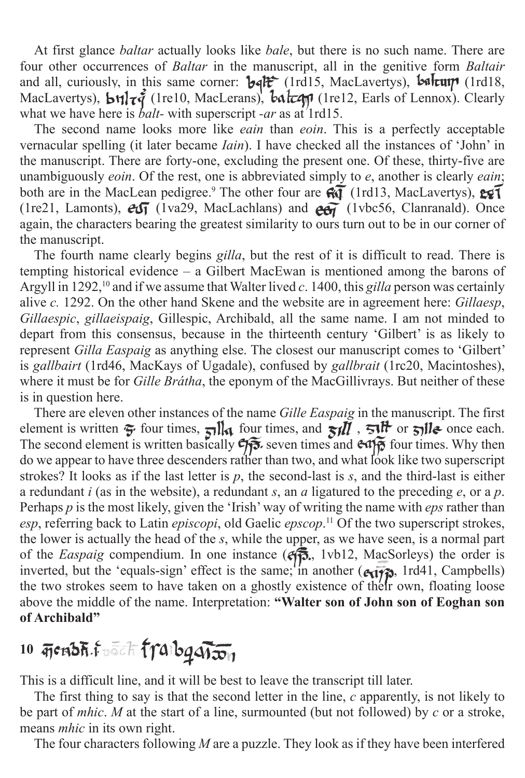At first glance *baltar* actually looks like *bale*, but there is no such name. There are four other occurrences of *Baltar* in the manuscript, all in the genitive form *Baltair* and all, curiously, in this same corner:  $\mathbf{b} \cdot \mathbf{d} \cdot \mathbf{f}^*$  (1rd15, MacLavertys),  $\mathbf{b} \cdot \mathbf{d} \cdot \mathbf{f}$  (1rd18, MacLavertys),  $\mathbf{b} \mathbf{t}$   $\mathbf{t}$   $\mathbf{z}$  (1re10, MacLerans),  $\mathbf{b} \mathbf{a}$   $\mathbf{t}$  (1re12, Earls of Lennox). Clearly what we have here is *balt*- with superscript *-ar* as at 1rd15.

The second name looks more like *eain* than *eoin*. This is a perfectly acceptable vernacular spelling (it later became *Iain*). I have checked all the instances of 'John' in the manuscript. There are forty-one, excluding the present one. Of these, thirty-five are unambiguously *eoin*. Of the rest, one is abbreviated simply to *e*, another is clearly *eain*; both are in the MacLean pedigree.<sup>9</sup> The other four are  $\mathcal{R}\mathcal{F}$  (1rd13, MacLavertys), (1re21, Lamonts),  $\partial \mathcal{F}$  (1va29, MacLachlans) and  $\partial \mathcal{F}$  (1vbc56, Clanranald). Once again, the characters bearing the greatest similarity to ours turn out to be in our corner of the manuscript.

The fourth name clearly begins *gilla*, but the rest of it is difficult to read. There is tempting historical evidence – a Gilbert MacEwan is mentioned among the barons of Argyll in 1292,<sup>10</sup> and if we assume that Walter lived *c*. 1400, this *gilla* person was certainly alive *c.* 1292. On the other hand Skene and the website are in agreement here: *Gillaesp*, *Gillaespic*, *gillaeispaig*, Gillespic, Archibald, all the same name. I am not minded to depart from this consensus, because in the thirteenth century 'Gilbert' is as likely to represent *Gilla Easpaig* as anything else. The closest our manuscript comes to 'Gilbert' is *gallbairt* (1rd46, MacKays of Ugadale), confused by *gallbrait* (1rc20, Macintoshes), where it must be for *Gille Brátha*, the eponym of the MacGillivrays. But neither of these is in question here.

There are eleven other instances of the name *Gille Easpaig* in the manuscript. The first element is written  $\tilde{\mathbf{y}}$  four times,  $\tilde{\mathbf{y}}$ lla four times, and  $\tilde{\mathbf{y}}$ lla  $\tilde{\mathbf{y}}$ ,  $\tilde{\mathbf{y}}$ lla once each. The second element is written basically  $\mathfrak{S}_{\mathfrak{F}}$  seven times and  $\mathfrak{S}_{\mathfrak{F}}$  four times. Why then do we appear to have three descenders rather than two, and what look like two superscript strokes? It looks as if the last letter is *p*, the second-last is *s*, and the third-last is either a redundant *i* (as in the website), a redundant *s*, an *a* ligatured to the preceding *e*, or a *p*. Perhaps *p* is the most likely, given the 'Irish' way of writing the name with *eps* rather than *esp*, referring back to Latin *episcopi*, old Gaelic *epscop*. 11 Of the two superscript strokes, the lower is actually the head of the *s*, while the upper, as we have seen, is a normal part of the *Easpaig* compendium. In one instance ( $\epsilon$ , 1vb12, MacSorleys) the order is inverted, but the 'equals-sign' effect is the same; in another  $(\epsilon_{\mathbf{1} \mathbf{1} \mathbf{7} \mathbf{2}})$ , 1rd41, Campbells) the two strokes seem to have taken on a ghostly existence of their own, floating loose above the middle of the name. Interpretation: **"Walter son of John son of Eoghan son of Archibald"**

### 10 <del>*GRADH FOR TTAIDq TION*</del>

This is a difficult line, and it will be best to leave the transcript till later.

The first thing to say is that the second letter in the line, *c* apparently, is not likely to be part of *mhic*. *M* at the start of a line, surmounted (but not followed) by *c* or a stroke, means *mhic* in its own right.

The four characters following *M* are a puzzle. They look as if they have been interfered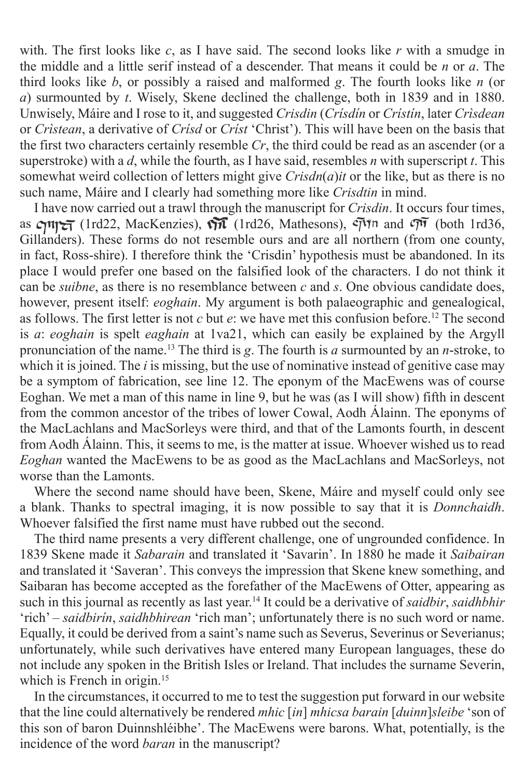with. The first looks like *c*, as I have said. The second looks like *r* with a smudge in the middle and a little serif instead of a descender. That means it could be *n* or *a*. The third looks like *b*, or possibly a raised and malformed *g*. The fourth looks like *n* (or *a*) surmounted by *t*. Wisely, Skene declined the challenge, both in 1839 and in 1880. Unwisely, Máire and I rose to it, and suggested *Crisdin* (*Crísdín* or *Crístín*, later *Crìsdean* or *Crìstean*, a derivative of *Crísd* or *Críst* 'Christ'). This will have been on the basis that the first two characters certainly resemble *Cr*, the third could be read as an ascender (or a superstroke) with a *d*, while the fourth, as I have said, resembles *n* with superscript *t*. This somewhat weird collection of letters might give *Crisdn*(*a*)*it* or the like, but as there is no such name, Máire and I clearly had something more like *Crisdtin* in mind.

I have now carried out a trawl through the manuscript for *Crisdin*. It occurs four times, as  $\mathcal{C}$ 111 $\mathcal{C}$  (1rd22, MacKenzies),  $\mathcal{C}$  (1rd26, Mathesons),  $\mathcal{C}$ <sup> $\gamma$  $\gamma$ n and  $\mathcal{C}$  $\overline{\gamma}$  (both 1rd36,</sup> Gillanders). These forms do not resemble ours and are all northern (from one county, in fact, Ross-shire). I therefore think the 'Crisdin' hypothesis must be abandoned. In its place I would prefer one based on the falsified look of the characters. I do not think it can be *suibne*, as there is no resemblance between *c* and *s*. One obvious candidate does, however, present itself: *eoghain*. My argument is both palaeographic and genealogical, as follows. The first letter is not *c* but *e*: we have met this confusion before.12 The second is *a*: *eoghain* is spelt *eaghain* at 1va21, which can easily be explained by the Argyll pronunciation of the name.13 The third is *g*. The fourth is *a* surmounted by an *n*-stroke, to which it is joined. The *i* is missing, but the use of nominative instead of genitive case may be a symptom of fabrication, see line 12. The eponym of the MacEwens was of course Eoghan. We met a man of this name in line 9, but he was (as I will show) fifth in descent from the common ancestor of the tribes of lower Cowal, Aodh Álainn. The eponyms of the MacLachlans and MacSorleys were third, and that of the Lamonts fourth, in descent from Aodh Álainn. This, it seems to me, is the matter at issue. Whoever wished us to read *Eoghan* wanted the MacEwens to be as good as the MacLachlans and MacSorleys, not worse than the Lamonts.

Where the second name should have been, Skene, Máire and myself could only see a blank. Thanks to spectral imaging, it is now possible to say that it is *Donnchaidh*. Whoever falsified the first name must have rubbed out the second.

The third name presents a very different challenge, one of ungrounded confidence. In 1839 Skene made it *Sabarain* and translated it 'Savarin'. In 1880 he made it *Saibairan* and translated it 'Saveran'. This conveys the impression that Skene knew something, and Saibaran has become accepted as the forefather of the MacEwens of Otter, appearing as such in this journal as recently as last year.14 It could be a derivative of *saidbir*, *saidhbhir* 'rich' – *saidbirín*, *saidhbhirean* 'rich man'; unfortunately there is no such word or name. Equally, it could be derived from a saint's name such as Severus, Severinus or Severianus; unfortunately, while such derivatives have entered many European languages, these do not include any spoken in the British Isles or Ireland. That includes the surname Severin, which is French in origin.<sup>15</sup>

In the circumstances, it occurred to me to test the suggestion put forward in our website that the line could alternatively be rendered *mhic* [*in*] *mhicsa barain* [*duinn*]*sleibe* 'son of this son of baron Duinnshléibhe'. The MacEwens were barons. What, potentially, is the incidence of the word *baran* in the manuscript?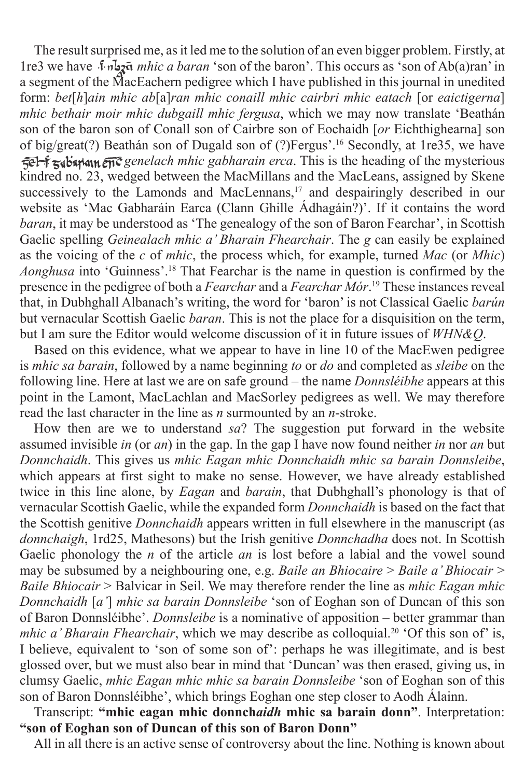The result surprised me, as it led me to the solution of an even bigger problem. Firstly, at 1re3 we have *mhic a baran* 'son of the baron'. This occurs as 'son of Ab(a)ran' in a segment of the MacEachern pedigree which I have published in this journal in unedited form: *bet*[*h*]*ain mhic ab*[a]*ran mhic conaill mhic cairbri mhic eatach* [or *eaictigerna*] *mhic bethair moir mhic dubgaill mhic fergusa*, which we may now translate 'Beathán son of the baron son of Conall son of Cairbre son of Eochaidh [*or* Eichthighearna] son of big/great(?) Beathán son of Dugald son of (?)Fergus'.16 Secondly, at 1re35, we have *gel-f*  $\alpha$  binder and  $\alpha$  *genelach mhic gabharain erca*. This is the heading of the mysterious kindred no. 23, wedged between the MacMillans and the MacLeans, assigned by Skene successively to the Lamonds and MacLennans,<sup>17</sup> and despairingly described in our website as 'Mac Gabharáin Earca (Clann Ghille Ádhagáin?)'. If it contains the word *baran*, it may be understood as 'The genealogy of the son of Baron Fearchar', in Scottish Gaelic spelling *Geinealach mhic a' Bharain Fhearchair*. The *g* can easily be explained as the voicing of the *c* of *mhic*, the process which, for example, turned *Mac* (or *Mhic*) *Aonghusa* into 'Guinness'.18 That Fearchar is the name in question is confirmed by the presence in the pedigree of both a *Fearchar* and a *Fearchar Mór*. 19 These instances reveal that, in Dubhghall Albanach's writing, the word for 'baron' is not Classical Gaelic *barún* but vernacular Scottish Gaelic *baran*. This is not the place for a disquisition on the term, but I am sure the Editor would welcome discussion of it in future issues of *WHN&Q*.

Based on this evidence, what we appear to have in line 10 of the MacEwen pedigree is *mhic sa barain*, followed by a name beginning *to* or *do* and completed as *sleibe* on the following line. Here at last we are on safe ground – the name *Donnsléibhe* appears at this point in the Lamont, MacLachlan and MacSorley pedigrees as well. We may therefore read the last character in the line as *n* surmounted by an *n*-stroke.

How then are we to understand *sa*? The suggestion put forward in the website assumed invisible *in* (or *an*) in the gap. In the gap I have now found neither *in* nor *an* but *Donnchaidh*. This gives us *mhic Eagan mhic Donnchaidh mhic sa barain Donnsleibe*, which appears at first sight to make no sense. However, we have already established twice in this line alone, by *Eagan* and *barain*, that Dubhghall's phonology is that of vernacular Scottish Gaelic, while the expanded form *Donnchaidh* is based on the fact that the Scottish genitive *Donnchaidh* appears written in full elsewhere in the manuscript (as *donnchaigh*, 1rd25, Mathesons) but the Irish genitive *Donnchadha* does not. In Scottish Gaelic phonology the *n* of the article *an* is lost before a labial and the vowel sound may be subsumed by a neighbouring one, e.g. *Baile an Bhiocaire* > *Baile a' Bhiocair* > *Baile Bhiocair* > Balvicar in Seil. We may therefore render the line as *mhic Eagan mhic Donnchaidh* [*a'*] *mhic sa barain Donnsleibe* 'son of Eoghan son of Duncan of this son of Baron Donnsléibhe'. *Donnsleibe* is a nominative of apposition – better grammar than *mhic a' Bharain Fhearchair*, which we may describe as colloquial.<sup>20</sup> 'Of this son of' is, I believe, equivalent to 'son of some son of': perhaps he was illegitimate, and is best glossed over, but we must also bear in mind that 'Duncan' was then erased, giving us, in clumsy Gaelic, *mhic Eagan mhic mhic sa barain Donnsleibe* 'son of Eoghan son of this son of Baron Donnsléibhe', which brings Eoghan one step closer to Aodh Álainn.

Transcript: **"mhic eagan mhic donnch***aidh* **mhic sa barain donn"**. Interpretation: **"son of Eoghan son of Duncan of this son of Baron Donn"**

All in all there is an active sense of controversy about the line. Nothing is known about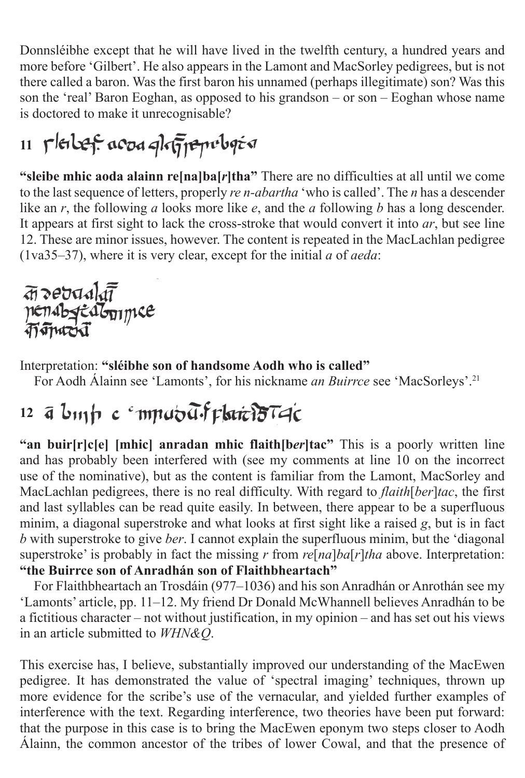Donnsléibhe except that he will have lived in the twelfth century, a hundred years and more before 'Gilbert'. He also appears in the Lamont and MacSorley pedigrees, but is not there called a baron. Was the first baron his unnamed (perhaps illegitimate) son? Was this son the 'real' Baron Eoghan, as opposed to his grandson – or son – Eoghan whose name is doctored to make it unrecognisable?

# 11 Pleiber acod phrijepoboja

**"sleibe mhic aoda alainn re[na]ba[***r***]tha"** There are no difficulties at all until we come to the last sequence of letters, properly *re n-abartha* 'who is called'. The *n* has a descender like an *r*, the following *a* looks more like *e*, and the *a* following *b* has a long descender. It appears at first sight to lack the cross-stroke that would convert it into *ar*, but see line 12. These are minor issues, however. The content is repeated in the MacLachlan pedigree (1va35–37), where it is very clear, except for the initial *a* of *aeda*:

a debadata<br>nenabstealonymee

Interpretation: **"sléibhe son of handsome Aodh who is called"**

For Aodh Álainn see 'Lamonts', for his nickname *an Buirrce* see 'MacSorleys'.21

#### 12 a binh c mputalif plate 15T4c

**"an buir[r]c[e] [mhic] anradan mhic flaith[b***er***]tac"** This is a poorly written line and has probably been interfered with (see my comments at line 10 on the incorrect use of the nominative), but as the content is familiar from the Lamont, MacSorley and MacLachlan pedigrees, there is no real difficulty. With regard to *flaith*[*ber*]*tac*, the first and last syllables can be read quite easily. In between, there appear to be a superfluous minim, a diagonal superstroke and what looks at first sight like a raised *g*, but is in fact *b* with superstroke to give *ber*. I cannot explain the superfluous minim, but the 'diagonal superstroke' is probably in fact the missing *r* from *re*[*na*]*ba*[*r*]*tha* above. Interpretation: **"the Buirrce son of Anradhán son of Flaithbheartach"**

For Flaithbheartach an Trosdáin (977–1036) and his son Anradhán or Anrothán see my 'Lamonts' article, pp. 11–12. My friend Dr Donald McWhannell believes Anradhán to be a fictitious character – not without justification, in my opinion – and has set out his views in an article submitted to *WHN&Q*.

This exercise has, I believe, substantially improved our understanding of the MacEwen pedigree. It has demonstrated the value of 'spectral imaging' techniques, thrown up more evidence for the scribe's use of the vernacular, and yielded further examples of interference with the text. Regarding interference, two theories have been put forward: that the purpose in this case is to bring the MacEwen eponym two steps closer to Aodh Álainn, the common ancestor of the tribes of lower Cowal, and that the presence of